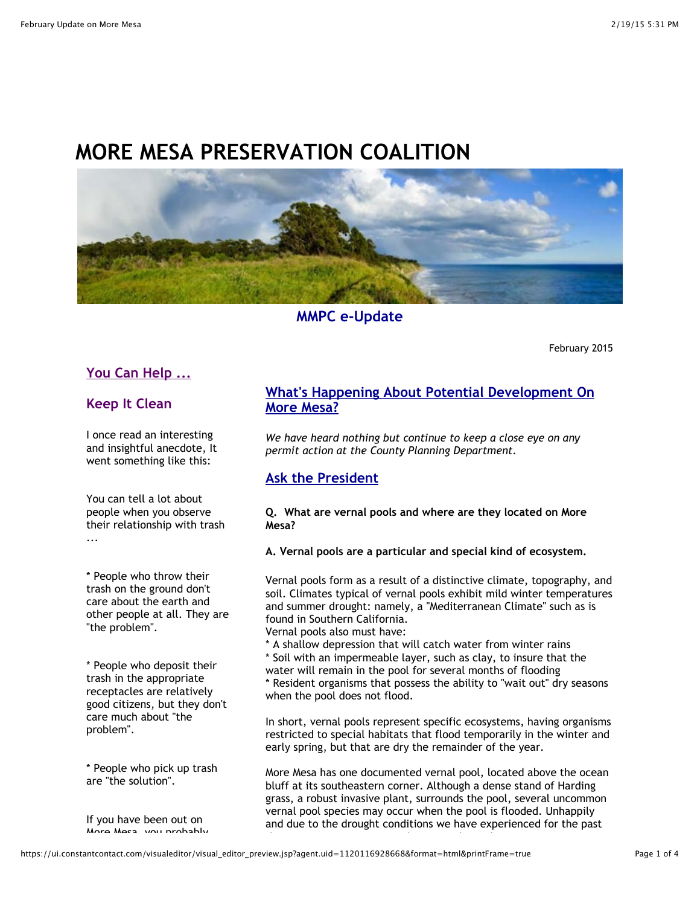# **MORE MESA PRESERVATION COALITION**



**MMPC e-Update**

February 2015

# **You Can Help ...**

## **Keep It Clean**

I once read an interesting and insightful anecdote, It went something like this:

You can tell a lot about people when you observe their relationship with trash ...

\* People who throw their trash on the ground don't care about the earth and other people at all. They are "the problem".

\* People who deposit their trash in the appropriate receptacles are relatively good citizens, but they don't care much about "the problem".

\* People who pick up trash are "the solution".

If you have been out on More Mesa, you probably

# **What's Happening About Potential Development On More Mesa?**

*We have heard nothing but continue to keep a close eye on any permit action at the County Planning Department.*

## **Ask the President**

#### **Q. What are vernal pools and where are they located on More Mesa?**

**A. Vernal pools are a particular and special kind of ecosystem.**

Vernal pools form as a result of a distinctive climate, topography, and soil. Climates typical of vernal pools exhibit mild winter temperatures and summer drought: namely, a "Mediterranean Climate" such as is found in Southern California.

Vernal pools also must have:

\* A shallow depression that will catch water from winter rains \* Soil with an impermeable layer, such as clay, to insure that the water will remain in the pool for several months of flooding \* Resident organisms that possess the ability to "wait out" dry seasons when the pool does not flood.

In short, vernal pools represent specific ecosystems, having organisms restricted to special habitats that flood temporarily in the winter and early spring, but that are dry the remainder of the year.

More Mesa has one documented vernal pool, located above the ocean bluff at its southeastern corner. Although a dense stand of Harding grass, a robust invasive plant, surrounds the pool, several uncommon vernal pool species may occur when the pool is flooded. Unhappily and due to the drought conditions we have experienced for the past

three years, More Mesa's pool remains dry and "waiting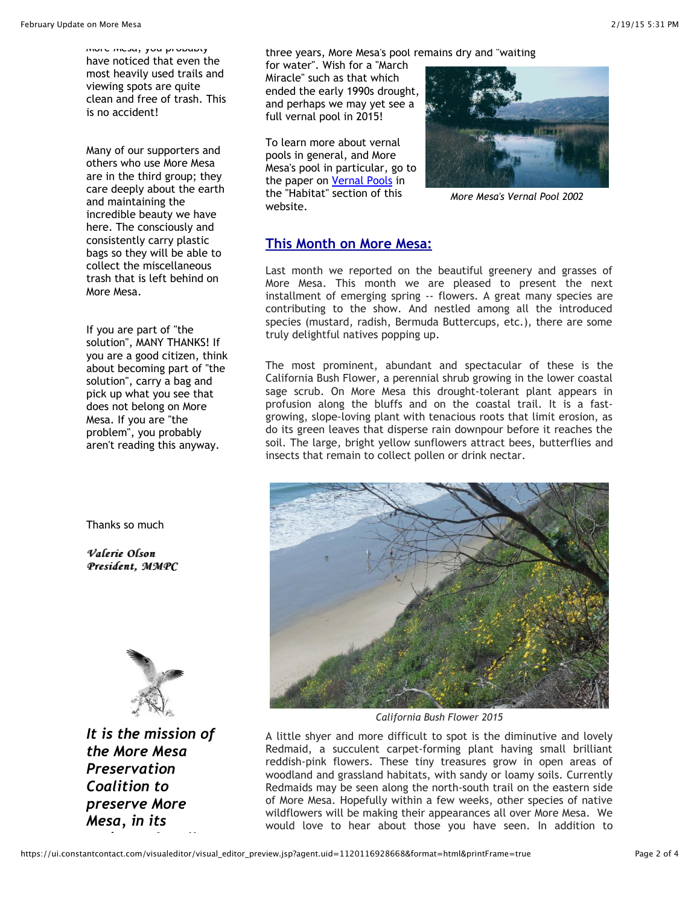$m$ ure  $m$ csa, you probably have noticed that even the most heavily used trails and viewing spots are quite clean and free of trash. This is no accident!

Many of our supporters and others who use More Mesa are in the third group; they care deeply about the earth and maintaining the incredible beauty we have here. The consciously and consistently carry plastic bags so they will be able to collect the miscellaneous trash that is left behind on More Mesa.

If you are part of "the solution", MANY THANKS! If you are a good citizen, think about becoming part of "the solution", carry a bag and pick up what you see that does not belong on More Mesa. If you are "the problem", you probably aren't reading this anyway.

Thanks so much

*Valerie Olson Valerie Olson President, MMPC MMPC*



*It is the mission of the More Mesa Preservation Coalition to preserve More Mesa, in its*

*entirety, for all*

three years, More Mesa's pool remains dry and "waiting

for water". Wish for a "March Miracle" such as that which ended the early 1990s drought, and perhaps we may yet see a full vernal pool in 2015!

To learn more about vernal pools in general, and More Mesa's pool in particular, go to the paper on [Vernal Pools](http://r20.rs6.net/tn.jsp?e=001WO_xckdFknJKyLgyHLGmcMG661E96AZZyfBKNg9j-f208WTh0Ik06dufhnnicgums_cqo21haLi3CWbAFPhLt6NMNV5o3s08oryg3EZtMh7aNP75Asaemwzvkgq04IB1GnfPlb-P0GkerkF8UUYBz0gX9QZX0BrM) in the "Habitat" section of this website.



*More Mesa's Vernal Pool 2002*

## **This Month on More Mesa:**

Last month we reported on the beautiful greenery and grasses of More Mesa. This month we are pleased to present the next installment of emerging spring -- flowers. A great many species are contributing to the show. And nestled among all the introduced species (mustard, radish, Bermuda Buttercups, etc.), there are some truly delightful natives popping up.

The most prominent, abundant and spectacular of these is the California Bush Flower, a perennial shrub growing in the lower coastal sage scrub. On More Mesa this drought-tolerant plant appears in profusion along the bluffs and on the coastal trail. It is a fastgrowing, slope-loving plant with tenacious roots that limit erosion, as do its green leaves that disperse rain downpour before it reaches the soil. The large, bright yellow sunflowers attract bees, butterflies and insects that remain to collect pollen or drink nectar.



*California Bush Flower 2015*

A little shyer and more difficult to spot is the diminutive and lovely Redmaid, a succulent carpet-forming plant having small brilliant reddish-pink flowers. These tiny treasures grow in open areas of woodland and grassland habitats, with sandy or loamy soils. Currently Redmaids may be seen along the north-south trail on the eastern side of More Mesa. Hopefully within a few weeks, other species of native wildflowers will be making their appearances all over More Mesa. We would love to hear about those you have seen. In addition to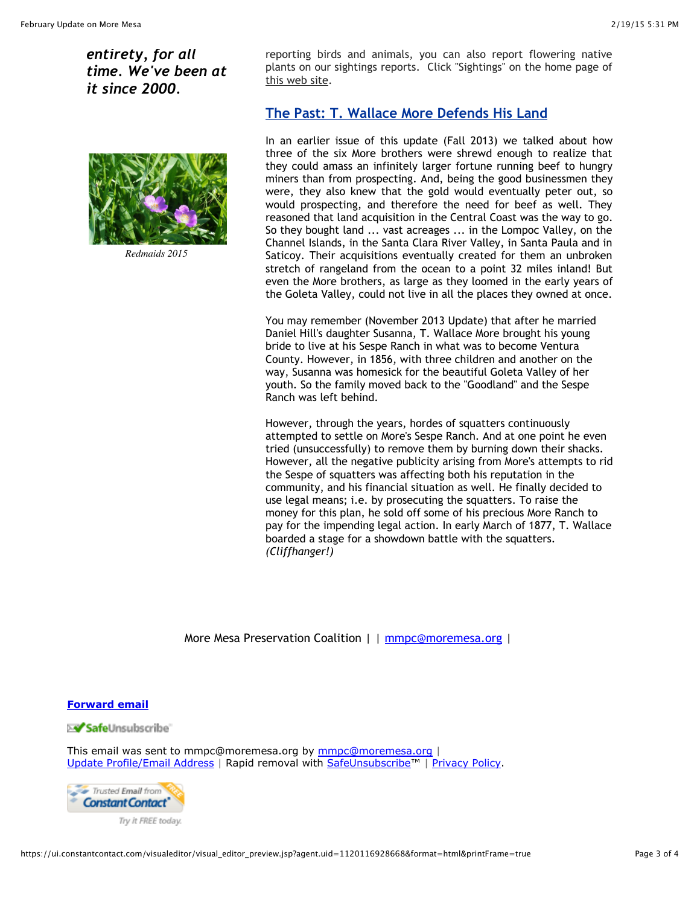*entirety, for all time. We've been at it since 2000.*



*Redmaids 2015* 

reporting birds and animals, you can also report flowering native plants on our sightings reports. Click "Sightings" on the home page of [this web site.](http://r20.rs6.net/tn.jsp?e=001WO_xckdFknJKyLgyHLGmcMG661E96AZZyfBKNg9j-f208WTh0Ik06dufhnnicgums_cqo21haLi3CWbAFPhLt6NMNV5o3s08J7S_R_75tDc=)

# **The Past: T. Wallace More Defends His Land**

In an earlier issue of this update (Fall 2013) we talked about how three of the six More brothers were shrewd enough to realize that they could amass an infinitely larger fortune running beef to hungry miners than from prospecting. And, being the good businessmen they were, they also knew that the gold would eventually peter out, so would prospecting, and therefore the need for beef as well. They reasoned that land acquisition in the Central Coast was the way to go. So they bought land ... vast acreages ... in the Lompoc Valley, on the Channel Islands, in the Santa Clara River Valley, in Santa Paula and in Saticoy. Their acquisitions eventually created for them an unbroken stretch of rangeland from the ocean to a point 32 miles inland! But even the More brothers, as large as they loomed in the early years of the Goleta Valley, could not live in all the places they owned at once.

You may remember (November 2013 Update) that after he married Daniel Hill's daughter Susanna, T. Wallace More brought his young bride to live at his Sespe Ranch in what was to become Ventura County. However, in 1856, with three children and another on the way, Susanna was homesick for the beautiful Goleta Valley of her youth. So the family moved back to the "Goodland" and the Sespe Ranch was left behind.

However, through the years, hordes of squatters continuously attempted to settle on More's Sespe Ranch. And at one point he even tried (unsuccessfully) to remove them by burning down their shacks. However, all the negative publicity arising from More's attempts to rid the Sespe of squatters was affecting both his reputation in the community, and his financial situation as well. He finally decided to use legal means; i.e. by prosecuting the squatters. To raise the money for this plan, he sold off some of his precious More Ranch to pay for the impending legal action. In early March of 1877, T. Wallace boarded a stage for a showdown battle with the squatters. *(Cliffhanger!)*

More Mesa Preservation Coalition | | [mmpc@moremesa.org](mailto:mmpc@moremesa.org) |

#### **[Forward email](http://ui.constantcontact.com/sa/fwtf.jsp?llr=qexsr9mab&m=1113287384208&ea=mmpc@moremesa.org&a=1120116928668&id=preview)**

⊠ SafeUnsubscribe`

This email was sent to [mmpc@moremesa.org](mailto:mmpc@moremesa.org) by mmpc@moremesa.org | [Update Profile/Email Address](http://visitor.constantcontact.com/do?p=oo&mse=001pBLuDmqs3qpmE517SOiunzpQYkVBLNTJJvw31ni5he6tMl4zjW-Pxw%3D%3D&t=001G8UWCKfD_2d6MbvDL6imFA%3D%3D&l=001FCSs65SMrsI%3D&id=001b-xBWU3VMkduV9KPL5bxUuBO4FJZsUhM&llr=qexsr9mab) | Rapid removal with [SafeUnsubscribe™](http://visitor.constantcontact.com/do?p=un&mse=001pBLuDmqs3qpmE517SOiunzpQYkVBLNTJJvw31ni5he6tMl4zjW-Pxw%3D%3D&t=001G8UWCKfD_2d6MbvDL6imFA%3D%3D&l=001FCSs65SMrsI%3D&id=001b-xBWU3VMkduV9KPL5bxUuBO4FJZsUhM&llr=qexsr9mab) | [Privacy Policy.](https://ui.constantcontact.com/roving/CCPrivacyPolicy.jsp?id=preview)